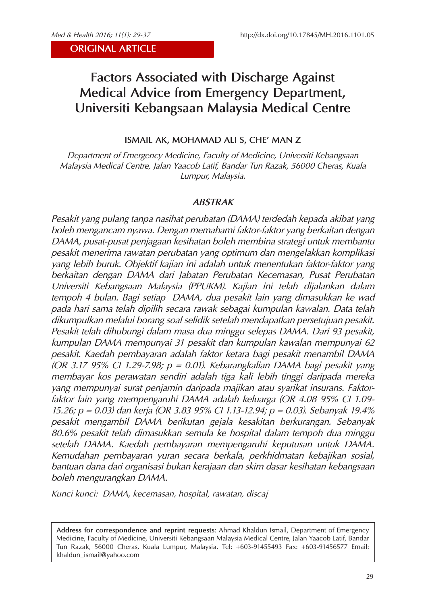# **Factors Associated with Discharge Against Medical Advice from Emergency Department, Universiti Kebangsaan Malaysia Medical Centre**

## **ISMAIL AK, MOHAMAD ALI S, CHE' MAN Z**

*Department of Emergency Medicine, Faculty of Medicine, Universiti Kebangsaan Malaysia Medical Centre, Jalan Yaacob Latif, Bandar Tun Razak, 56000 Cheras, Kuala Lumpur, Malaysia.*

## *ABSTRAK*

*Pesakit yang pulang tanpa nasihat perubatan (DAMA) terdedah kepada akibat yang boleh mengancam nyawa. Dengan memahami faktor-faktor yang berkaitan dengan DAMA, pusat-pusat penjagaan kesihatan boleh membina strategi untuk membantu pesakit menerima rawatan perubatan yang optimum dan mengelakkan komplikasi yang lebih buruk. Objektif kajian ini adalah untuk menentukan faktor-faktor yang berkaitan dengan DAMA dari Jabatan Perubatan Kecemasan, Pusat Perubatan Universiti Kebangsaan Malaysia (PPUKM). Kajian ini telah dijalankan dalam tempoh 4 bulan. Bagi setiap DAMA, dua pesakit lain yang dimasukkan ke wad pada hari sama telah dipilih secara rawak sebagai kumpulan kawalan. Data telah dikumpulkan melalui borang soal selidik setelah mendapatkan persetujuan pesakit. Pesakit telah dihubungi dalam masa dua minggu selepas DAMA. Dari 93 pesakit, kumpulan DAMA mempunyai 31 pesakit dan kumpulan kawalan mempunyai 62 pesakit. Kaedah pembayaran adalah faktor ketara bagi pesakit menambil DAMA (OR 3.17 95% CI 1.29-7.98; p = 0.01). Kebarangkalian DAMA bagi pesakit yang membayar kos perawatan sendiri adalah tiga kali lebih tinggi daripada mereka yang mempunyai surat penjamin daripada majikan atau syarikat insurans. Faktorfaktor lain yang mempengaruhi DAMA adalah keluarga (OR 4.08 95% CI 1.09- 15.26; p = 0.03) dan kerja (OR 3.83 95% CI 1.13-12.94; p = 0.03). Sebanyak 19.4% pesakit mengambil DAMA berikutan gejala kesakitan berkurangan. Sebanyak 80.6% pesakit telah dimasukkan semula ke hospital dalam tempoh dua minggu setelah DAMA. Kaedah pembayaran mempengaruhi keputusan untuk DAMA. Kemudahan pembayaran yuran secara berkala, perkhidmatan kebajikan sosial, bantuan dana dari organisasi bukan kerajaan dan skim dasar kesihatan kebangsaan boleh mengurangkan DAMA.* 

*Kunci kunci: DAMA, kecemasan, hospital, rawatan, discaj*

**Address for correspondence and reprint requests**: Ahmad Khaldun Ismail, Department of Emergency Medicine, Faculty of Medicine, Universiti Kebangsaan Malaysia Medical Centre, Jalan Yaacob Latif, Bandar Tun Razak, 56000 Cheras, Kuala Lumpur, Malaysia. Tel: +603-91455493 Fax: +603-91456577 Email: khaldun\_ismail@yahoo.com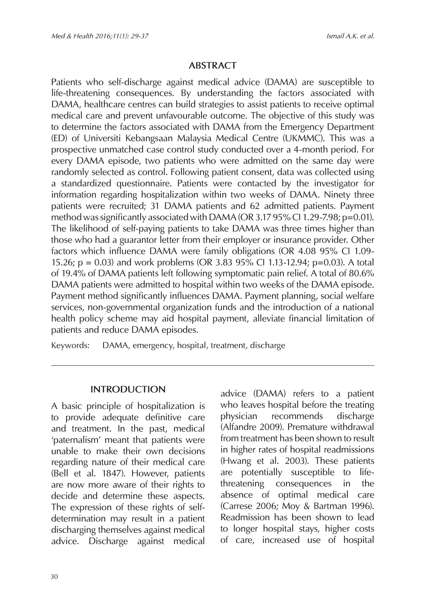## **ABSTRACT**

Patients who self-discharge against medical advice (DAMA) are susceptible to life-threatening consequences. By understanding the factors associated with DAMA, healthcare centres can build strategies to assist patients to receive optimal medical care and prevent unfavourable outcome. The objective of this study was to determine the factors associated with DAMA from the Emergency Department (ED) of Universiti Kebangsaan Malaysia Medical Centre (UKMMC). This was a prospective unmatched case control study conducted over a 4-month period. For every DAMA episode, two patients who were admitted on the same day were randomly selected as control. Following patient consent, data was collected using a standardized questionnaire. Patients were contacted by the investigator for information regarding hospitalization within two weeks of DAMA. Ninety three patients were recruited; 31 DAMA patients and 62 admitted patients. Payment method was significantly associated with DAMA (OR 3.17 95% CI 1.29-7.98;  $p=0.01$ ). The likelihood of self-paying patients to take DAMA was three times higher than those who had a guarantor letter from their employer or insurance provider. Other factors which influence DAMA were family obligations (OR 4.08 95% CI 1.09- 15.26; p = 0.03) and work problems (OR 3.83 95% CI 1.13-12.94; p=0.03). A total of 19.4% of DAMA patients left following symptomatic pain relief. A total of 80.6% DAMA patients were admitted to hospital within two weeks of the DAMA episode. Payment method significantly influences DAMA. Payment planning, social welfare services, non-governmental organization funds and the introduction of a national health policy scheme may aid hospital payment, alleviate financial limitation of patients and reduce DAMA episodes.

Keywords: DAMA, emergency, hospital, treatment, discharge

## **INTRODUCTION**

A basic principle of hospitalization is to provide adequate definitive care and treatment. In the past, medical 'paternalism' meant that patients were unable to make their own decisions regarding nature of their medical care (Bell et al. 1847). However, patients are now more aware of their rights to decide and determine these aspects. The expression of these rights of selfdetermination may result in a patient discharging themselves against medical advice. Discharge against medical

advice (DAMA) refers to a patient who leaves hospital before the treating physician recommends discharge (Alfandre 2009). Premature withdrawal from treatment has been shown to result in higher rates of hospital readmissions (Hwang et al. 2003). These patients are potentially susceptible to lifethreatening consequences in the absence of optimal medical care (Carrese 2006; Moy & Bartman 1996). Readmission has been shown to lead to longer hospital stays, higher costs of care, increased use of hospital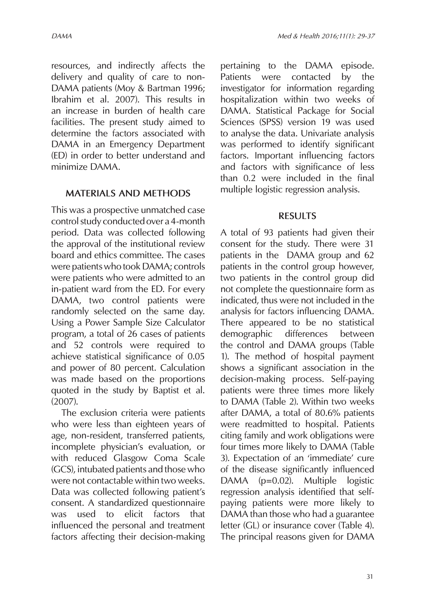resources, and indirectly affects the delivery and quality of care to non-DAMA patients (Moy & Bartman 1996; Ibrahim et al. 2007). This results in an increase in burden of health care facilities. The present study aimed to determine the factors associated with DAMA in an Emergency Department (ED) in order to better understand and minimize DAMA.

## **MATERIALS AND METHODS**

This was a prospective unmatched case control study conducted over a 4-month period. Data was collected following the approval of the institutional review board and ethics committee. The cases were patients who took DAMA; controls were patients who were admitted to an in-patient ward from the ED. For every DAMA, two control patients were randomly selected on the same day. Using a Power Sample Size Calculator program, a total of 26 cases of patients and 52 controls were required to achieve statistical significance of 0.05 and power of 80 percent. Calculation was made based on the proportions quoted in the study by Baptist et al. (2007).

The exclusion criteria were patients who were less than eighteen years of age, non-resident, transferred patients, incomplete physician's evaluation, or with reduced Glasgow Coma Scale (GCS), intubated patients and those who were not contactable within two weeks. Data was collected following patient's consent. A standardized questionnaire was used to elicit factors that influenced the personal and treatment factors affecting their decision-making

pertaining to the DAMA episode. Patients were contacted by the investigator for information regarding hospitalization within two weeks of DAMA. Statistical Package for Social Sciences (SPSS) version 19 was used to analyse the data. Univariate analysis was performed to identify significant factors. Important influencing factors and factors with significance of less than 0.2 were included in the final multiple logistic regression analysis.

## **RESULTS**

A total of 93 patients had given their consent for the study. There were 31 patients in the DAMA group and 62 patients in the control group however, two patients in the control group did not complete the questionnaire form as indicated, thus were not included in the analysis for factors influencing DAMA. There appeared to be no statistical demographic differences between the control and DAMA groups (Table 1). The method of hospital payment shows a significant association in the decision-making process. Self-paying patients were three times more likely to DAMA (Table 2). Within two weeks after DAMA, a total of 80.6% patients were readmitted to hospital. Patients citing family and work obligations were four times more likely to DAMA (Table 3). Expectation of an 'immediate' cure of the disease significantly influenced DAMA (p=0.02). Multiple logistic regression analysis identified that selfpaying patients were more likely to DAMA than those who had a guarantee letter (GL) or insurance cover (Table 4). The principal reasons given for DAMA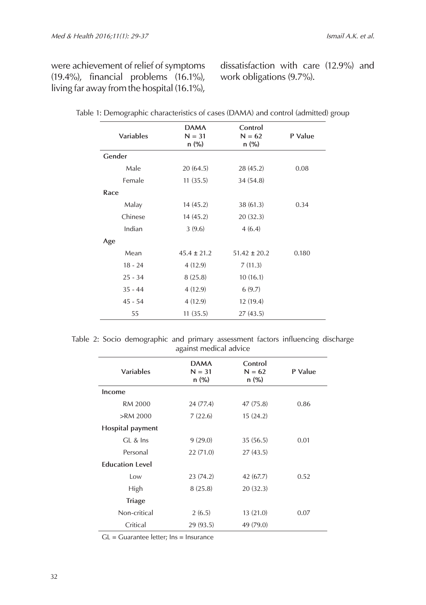were achievement of relief of symptoms (19.4%), financial problems (16.1%), living far away from the hospital (16.1%), dissatisfaction with care (12.9%) and work obligations (9.7%).

| <b>Variables</b> | <b>DAMA</b><br>$N = 31$<br>$n$ (%) | Control<br>$N = 62$<br>$n(\%)$ | P Value |
|------------------|------------------------------------|--------------------------------|---------|
| Gender           |                                    |                                |         |
| Male             | 20(64.5)                           | 28 (45.2)                      | 0.08    |
| Female           | 11(35.5)                           | 34 (54.8)                      |         |
| Race             |                                    |                                |         |
| Malay            | 14(45.2)                           | 38(61.3)                       | 0.34    |
| Chinese          | 14(45.2)                           | 20(32.3)                       |         |
| Indian           | 3(9.6)                             | 4(6.4)                         |         |
| Age              |                                    |                                |         |
| Mean             | $45.4 \pm 21.2$                    | $51.42 \pm 20.2$               | 0.180   |
| $18 - 24$        | 4(12.9)                            | 7(11.3)                        |         |
| $25 - 34$        | 8(25.8)                            | 10(16.1)                       |         |
| $35 - 44$        | 4(12.9)                            | 6(9.7)                         |         |
| $45 - 54$        | 4(12.9)                            | 12(19.4)                       |         |
| 55               | 11(35.5)                           | 27(43.5)                       |         |

| Table 1: Demographic characteristics of cases (DAMA) and control (admitted) group |  |  |  |
|-----------------------------------------------------------------------------------|--|--|--|
|                                                                                   |  |  |  |

|  | Table 2: Socio demographic and primary assessment factors influencing discharge |  |                        |  |  |
|--|---------------------------------------------------------------------------------|--|------------------------|--|--|
|  |                                                                                 |  | against medical advice |  |  |

| <b>DAMA</b><br>$N = 31$<br>$n(\%)$ | Control<br>$N = 62$<br>n (%) | P Value |
|------------------------------------|------------------------------|---------|
|                                    |                              |         |
| 24 (77.4)                          | 47 (75.8)                    | 0.86    |
| 7(22.6)                            | 15(24.2)                     |         |
|                                    |                              |         |
| 9(29.0)                            | 35(56.5)                     | 0.01    |
| 22(71.0)                           | 27(43.5)                     |         |
|                                    |                              |         |
| 23(74.2)                           | 42 (67.7)                    | 0.52    |
| 8(25.8)                            | 20(32.3)                     |         |
|                                    |                              |         |
| 2(6.5)                             | 13(21.0)                     | 0.07    |
| 29 (93.5)                          | 49 (79.0)                    |         |
|                                    |                              |         |

GL = Guarantee letter; Ins = Insurance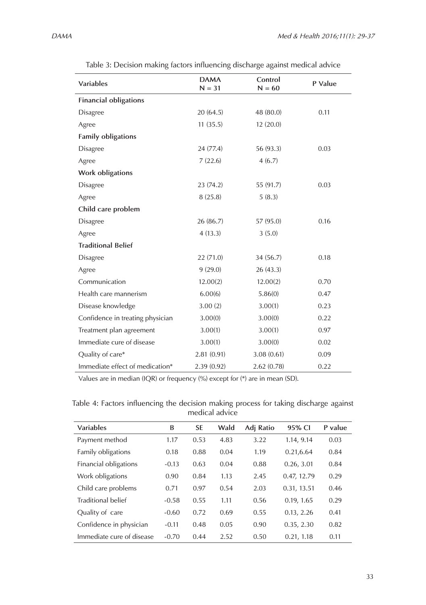| Variables                        | <b>DAMA</b><br>$N = 31$ | Control<br>$N = 60$ | P Value |
|----------------------------------|-------------------------|---------------------|---------|
| <b>Financial obligations</b>     |                         |                     |         |
| <b>Disagree</b>                  | 20(64.5)                | 48 (80.0)           | 0.11    |
| Agree                            | 11(35.5)                | 12(20.0)            |         |
| Family obligations               |                         |                     |         |
| <b>Disagree</b>                  | 24(77.4)                | 56 (93.3)           | 0.03    |
| Agree                            | 7(22.6)                 | 4(6.7)              |         |
| Work obligations                 |                         |                     |         |
| <b>Disagree</b>                  | 23(74.2)                | 55 (91.7)           | 0.03    |
| Agree                            | 8(25.8)                 | 5(8.3)              |         |
| Child care problem               |                         |                     |         |
| <b>Disagree</b>                  | 26(86.7)                | 57 (95.0)           | 0.16    |
| Agree                            | 4(13.3)                 | 3(5.0)              |         |
| <b>Traditional Belief</b>        |                         |                     |         |
| <b>Disagree</b>                  | 22(71.0)                | 34 (56.7)           | 0.18    |
| Agree                            | 9(29.0)                 | 26(43.3)            |         |
| Communication                    | 12.00(2)                | 12.00(2)            | 0.70    |
| Health care mannerism            | 6.00(6)                 | 5.86(0)             | 0.47    |
| Disease knowledge                | 3.00(2)                 | 3.00(1)             | 0.23    |
| Confidence in treating physician | 3.00(0)                 | 3.00(0)             | 0.22    |
| Treatment plan agreement         | 3.00(1)                 | 3.00(1)             | 0.97    |
| Immediate cure of disease        | 3.00(1)                 | 3.00(0)             | 0.02    |
| Quality of care*                 | 2.81(0.91)              | 3.08(0.61)          | 0.09    |
| Immediate effect of medication*  | 2.39(0.92)              | 2.62(0.78)          | 0.22    |

Table 3: Decision making factors influencing discharge against medical advice

Values are in median (IQR) or frequency (%) except for (\*) are in mean (SD).

| Table 4: Factors influencing the decision making process for taking discharge against |  |                |  |  |  |
|---------------------------------------------------------------------------------------|--|----------------|--|--|--|
|                                                                                       |  | medical advice |  |  |  |

| Variables                 | B       | <b>SE</b> | Wald | Adj Ratio | 95% CI      | P value |
|---------------------------|---------|-----------|------|-----------|-------------|---------|
| Payment method            | 1.17    | 0.53      | 4.83 | 3.22      | 1.14, 9.14  | 0.03    |
| Family obligations        | 0.18    | 0.88      | 0.04 | 1.19      | 0.21,6.64   | 0.84    |
| Financial obligations     | $-0.13$ | 0.63      | 0.04 | 0.88      | 0.26, 3.01  | 0.84    |
| Work obligations          | 0.90    | 0.84      | 1.13 | 2.45      | 0.47, 12.79 | 0.29    |
| Child care problems       | 0.71    | 0.97      | 0.54 | 2.03      | 0.31, 13.51 | 0.46    |
| Traditional belief        | $-0.58$ | 0.55      | 1.11 | 0.56      | 0.19, 1.65  | 0.29    |
| Quality of care           | $-0.60$ | 0.72      | 0.69 | 0.55      | 0.13, 2.26  | 0.41    |
| Confidence in physician   | $-0.11$ | 0.48      | 0.05 | 0.90      | 0.35, 2.30  | 0.82    |
| Immediate cure of disease | $-0.70$ | 0.44      | 2.52 | 0.50      | 0.21, 1.18  | 0.11    |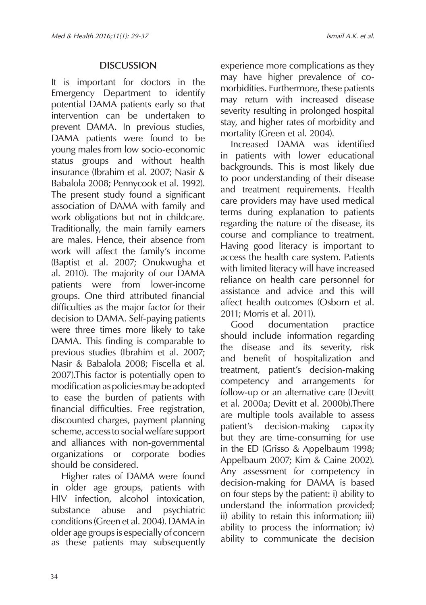# **DISCUSSION**

It is important for doctors in the Emergency Department to identify potential DAMA patients early so that intervention can be undertaken to prevent DAMA. In previous studies, DAMA patients were found to be young males from low socio-economic status groups and without health insurance (Ibrahim et al. 2007; Nasir & Babalola 2008; Pennycook et al. 1992). The present study found a significant association of DAMA with family and work obligations but not in childcare. Traditionally, the main family earners are males. Hence, their absence from work will affect the family's income (Baptist et al. 2007; Onukwugha et al. 2010). The majority of our DAMA patients were from lower-income groups. One third attributed financial difficulties as the major factor for their decision to DAMA. Self-paying patients were three times more likely to take DAMA. This finding is comparable to previous studies (Ibrahim et al. 2007; Nasir & Babalola 2008; Fiscella et al. 2007).This factor is potentially open to modification as policies may be adopted to ease the burden of patients with financial difficulties. Free registration, discounted charges, payment planning scheme, access to social welfare support and alliances with non-governmental organizations or corporate bodies should be considered.

Higher rates of DAMA were found in older age groups, patients with HIV infection, alcohol intoxication, substance abuse and psychiatric conditions (Green et al. 2004). DAMA in older age groups is especially of concern as these patients may subsequently experience more complications as they may have higher prevalence of comorbidities. Furthermore, these patients may return with increased disease severity resulting in prolonged hospital stay, and higher rates of morbidity and mortality (Green et al. 2004).

Increased DAMA was identified in patients with lower educational backgrounds. This is most likely due to poor understanding of their disease and treatment requirements. Health care providers may have used medical terms during explanation to patients regarding the nature of the disease, its course and compliance to treatment. Having good literacy is important to access the health care system. Patients with limited literacy will have increased reliance on health care personnel for assistance and advice and this will affect health outcomes (Osborn et al. 2011; Morris et al. 2011).

Good documentation practice should include information regarding the disease and its severity, risk and benefit of hospitalization and treatment, patient's decision-making competency and arrangements for follow-up or an alternative care (Devitt et al. 2000a; Devitt et al. 2000b).There are multiple tools available to assess patient's decision-making capacity but they are time-consuming for use in the ED (Grisso & Appelbaum 1998; Appelbaum 2007; Kim & Caine 2002). Any assessment for competency in decision-making for DAMA is based on four steps by the patient: i) ability to understand the information provided; ii) ability to retain this information; iii) ability to process the information; iv) ability to communicate the decision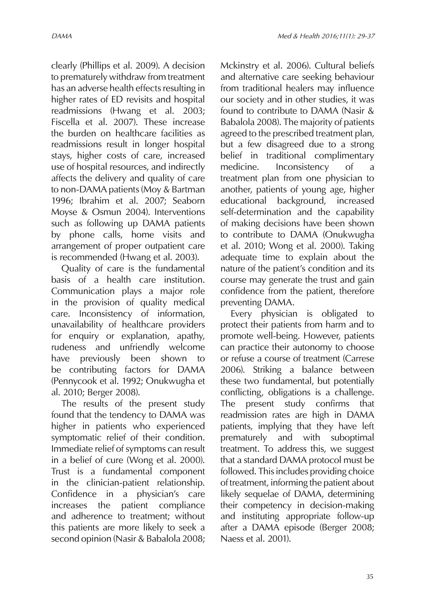clearly (Phillips et al. 2009). A decision to prematurely withdraw from treatment has an adverse health effects resulting in higher rates of ED revisits and hospital readmissions (Hwang et al. 2003; Fiscella et al. 2007). These increase the burden on healthcare facilities as readmissions result in longer hospital stays, higher costs of care, increased use of hospital resources, and indirectly affects the delivery and quality of care to non-DAMA patients (Moy & Bartman 1996; Ibrahim et al. 2007; Seaborn Moyse & Osmun 2004). Interventions such as following up DAMA patients by phone calls, home visits and arrangement of proper outpatient care is recommended (Hwang et al. 2003).

Quality of care is the fundamental basis of a health care institution. Communication plays a major role in the provision of quality medical care. Inconsistency of information, unavailability of healthcare providers for enquiry or explanation, apathy, rudeness and unfriendly welcome have previously been shown to be contributing factors for DAMA (Pennycook et al. 1992; Onukwugha et al. 2010; Berger 2008).

The results of the present study found that the tendency to DAMA was higher in patients who experienced symptomatic relief of their condition. Immediate relief of symptoms can result in a belief of cure (Wong et al. 2000). Trust is a fundamental component in the clinician-patient relationship. Confidence in a physician's care increases the patient compliance and adherence to treatment; without this patients are more likely to seek a second opinion (Nasir & Babalola 2008;

Mckinstry et al. 2006). Cultural beliefs and alternative care seeking behaviour from traditional healers may influence our society and in other studies, it was found to contribute to DAMA (Nasir & Babalola 2008). The majority of patients agreed to the prescribed treatment plan, but a few disagreed due to a strong belief in traditional complimentary medicine. Inconsistency of a treatment plan from one physician to another, patients of young age, higher educational background, increased self-determination and the capability of making decisions have been shown to contribute to DAMA (Onukwugha et al. 2010; Wong et al. 2000). Taking adequate time to explain about the nature of the patient's condition and its course may generate the trust and gain confidence from the patient, therefore preventing DAMA.

Every physician is obligated to protect their patients from harm and to promote well-being. However, patients can practice their autonomy to choose or refuse a course of treatment (Carrese 2006). Striking a balance between these two fundamental, but potentially conflicting, obligations is a challenge. The present study confirms that readmission rates are high in DAMA patients, implying that they have left prematurely and with suboptimal treatment. To address this, we suggest that a standard DAMA protocol must be followed. This includes providing choice of treatment, informing the patient about likely sequelae of DAMA, determining their competency in decision-making and instituting appropriate follow-up after a DAMA episode (Berger 2008; Naess et al. 2001).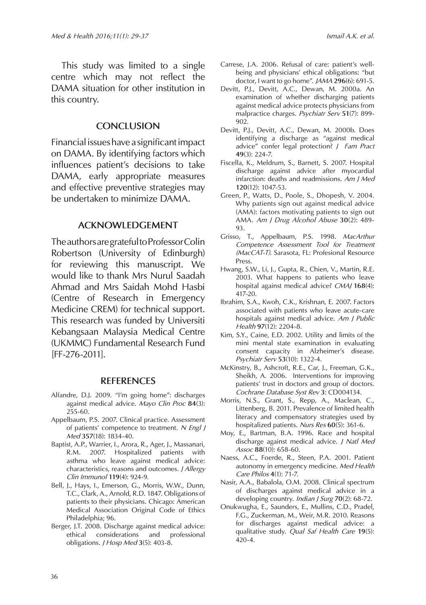This study was limited to a single centre which may not reflect the DAMA situation for other institution in this country.

#### **CONCLUSION**

Financial issues have a significant impact on DAMA. By identifying factors which influences patient's decisions to take DAMA, early appropriate measures and effective preventive strategies may be undertaken to minimize DAMA.

#### **ACKNOWLEDGEMENT**

The authors are grateful to Professor Colin Robertson (University of Edinburgh) for reviewing this manuscript. We would like to thank Mrs Nurul Saadah Ahmad and Mrs Saidah Mohd Hasbi (Centre of Research in Emergency Medicine CREM) for technical support. This research was funded by Universiti Kebangsaan Malaysia Medical Centre (UKMMC) Fundamental Research Fund [FF-276-2011].

#### **REFERENCES**

- Alfandre, D.J. 2009. "I'm going home": discharges against medical advice. *Mayo Clin Proc* **84**(3): 255-60.
- Appelbaum, P.S. 2007. Clinical practice. Assessment of patients' competence to treatment. *N Engl J Med* **357**(18): 1834-40.
- Baptist, A.P., Warrier, I., Arora, R., Ager, J., Massanari, R.M. 2007. Hospitalized patients with asthma who leave against medical advice: characteristics, reasons and outcomes. *J Allergy Clin Immunol* **119**(4): 924-9.
- Bell, J., Hays, I., Emerson, G., Morris, W.W., Dunn, T.C., Clark, A., Arnold, R.D. 1847. Obligations of patients to their physicians. Chicago: American Medical Association Original Code of Ethics Philadelphia; 96.
- Berger, J.T. 2008. Discharge against medical advice:<br>ethical considerations and professional ethical considerations and obligations. *J Hosp Med* **3**(5): 403-8.
- Carrese, J.A. 2006. Refusal of care: patient's wellbeing and physicians' ethical obligations: "but doctor, I want to go home". *JAMA* **296**(6): 691-5.
- Devitt, P.J., Devitt, A.C., Dewan, M. 2000a. An examination of whether discharging patients against medical advice protects physicians from malpractice charges. *Psychiatr Serv* **51**(7): 899- 902.
- Devitt, P.J., Devitt, A.C., Dewan, M. 2000b. Does identifying a discharge as "against medical advice" confer legal protection? *J Fam Pract*  **49**(3): 224-7.
- Fiscella, K., Meldrum, S., Barnett, S. 2007. Hospital discharge against advice after myocardial infarction: deaths and readmissions. *Am J Med*  **120**(12): 1047-53.
- Green, P., Watts, D., Poole, S., Dhopesh, V. 2004. Why patients sign out against medical advice (AMA): factors motivating patients to sign out AMA. *Am J Drug Alcohol Abuse* **30**(2): 489- 93.
- Grisso, T., Appelbaum, P.S. 1998. *MacArthur Competence Assessment Tool for Treatment (MacCAT-T)*. Sarasota, FL: Profesional Resource Press.
- Hwang, S.W., Li, J., Gupta, R., Chien, V., Martin, R.E. 2003. What happens to patients who leave hospital against medical advice? *CMAJ* **168**(4): 417-20.
- Ibrahim, S.A., Kwoh, C.K., Krishnan, E. 2007. Factors associated with patients who leave acute-care hospitals against medical advice. *Am J Public Health* **97**(12): 2204-8.
- Kim, S.Y., Caine, E.D. 2002. Utility and limits of the mini mental state examination in evaluating consent capacity in Alzheimer's disease. *Psychiatr Serv* **53**(10): 1322-4.
- McKinstry, B., Ashcroft, R.E., Car, J., Freeman, G.K., Sheikh, A. 2006. Interventions for improving patients' trust in doctors and group of doctors. *Cochrane Database Syst Rev* **3**: CD004134.
- Morris, N.S., Grant, S., Repp, A., Maclean, C., Littenberg, B. 2011. Prevalence of limited health literacy and compensatory strategies used by hospitalized patients. *Nurs Res* **60**(5): 361-6.
- Moy, E., Bartman, B.A. 1996. Race and hospital discharge against medical advice. *J Natl Med Assoc* **88**(10): 658-60.
- Naess, A.C., Foerde, R., Steen, P.A. 2001. Patient autonomy in emergency medicine. *Med Health Care Philos* **4**(1): 71-7.
- Nasir, A.A., Babalola, O.M. 2008. Clinical spectrum of discharges against medical advice in a developing country. *Indian J Surg* **70**(2): 68-72.
- Onukwugha, E., Saunders, E., Mullins, C.D., Pradel, F.G., Zuckerman, M., Weir, M.R. 2010. Reasons for discharges against medical advice: a qualitative study. *Qual Saf Health Care* **19**(5): 420-4.